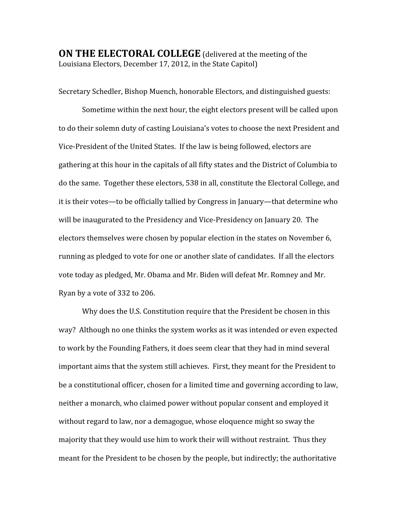**ON THE ELECTORAL COLLEGE** (delivered at the meeting of the Louisiana
Electors,
December
17,
2012,
in
the
State
Capitol)

Secretary
Schedler,
Bishop
Muench,
honorable
Electors,
and
distinguished
guests:

Sometime
within
the
next
hour,
the
eight
electors
present
will
be
called
upon to
do
their
solemn
duty
of
casting
Louisiana's
votes
to
choose
the
next
President
and Vice-President of the United States. If the law is being followed, electors are gathering at this hour in the capitals of all fifty states and the District of Columbia to do
the
same.

Together
these
electors,
538
in
all,
constitute
the
Electoral
College,
and it
is
their
votes—to
be
officially
tallied
by
Congress
in
January—that
determine
who will be inaugurated to the Presidency and Vice-Presidency on January 20. The electors themselves were chosen by popular election in the states on November 6, running
as
pledged
to
vote
for
one
or
another
slate
of
candidates.

If
all
the
electors vote
today
as
pledged,
Mr.
Obama
and
Mr.
Biden
will
defeat
Mr.
Romney
and
Mr. Ryan
by
a
vote
of
332
to
206.

Why does the U.S. Constitution require that the President be chosen in this way? Although no one thinks the system works as it was intended or even expected to work by the Founding Fathers, it does seem clear that they had in mind several important aims that the system still achieves. First, they meant for the President to be
a
constitutional
officer,
chosen
for
a
limited
time
and
governing
according
to
law, neither
a
monarch,
who
claimed
power
without
popular
consent
and
employed
it without regard to law, nor a demagogue, whose eloquence might so sway the majority that they would use him to work their will without restraint. Thus they meant
for
the
President
to
be
chosen
by
the
people,
but
indirectly;
the
authoritative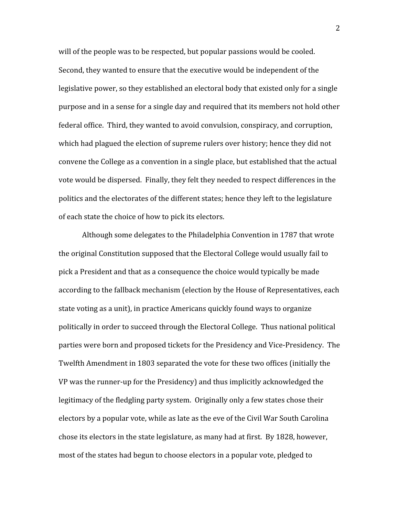will of the people was to be respected, but popular passions would be cooled. Second, they wanted to ensure that the executive would be independent of the legislative power, so they established an electoral body that existed only for a single purpose
and
in
a
sense
for
a
single
day
and
required
that
its
members
not
hold
other federal office. Third, they wanted to avoid convulsion, conspiracy, and corruption, which had plagued the election of supreme rulers over history; hence they did not convene the College as a convention in a single place, but established that the actual vote would be dispersed. Finally, they felt they needed to respect differences in the politics and the electorates of the different states; hence they left to the legislature of
each
state
the
choice
of
how
to
pick
its
electors.

Although
some
delegates
to
the
Philadelphia
Convention
in
1787
that
wrote the original Constitution supposed that the Electoral College would usually fail to pick
a
President and
that
as
a
consequence
the
choice
would
typically
be
made according
to
the
fallback
mechanism
(election
by
the
House
of
Representatives,
each state voting as a unit), in practice Americans quickly found ways to organize politically
in
order
to
succeed
through
the
Electoral
College.

Thus
national
political parties
were
born
and
proposed
tickets
for
the
Presidency
and
Vice‐Presidency.

The Twelfth
Amendment
in
1803
separated
the
vote
for
these
two
offices
(initially
the VP was the runner-up for the Presidency) and thus implicitly acknowledged the legitimacy of the fledgling party system. Originally only a few states chose their electors
by
a
popular
vote,
while
as
late
as
the
eve
of
the
Civil
War
South
Carolina chose
its
electors
in
the
state
legislature,
as
many
had
at
first.

By
1828,
however, most
of
the
states
had
begun
to
choose
electors
in
a
popular
vote,
pledged
to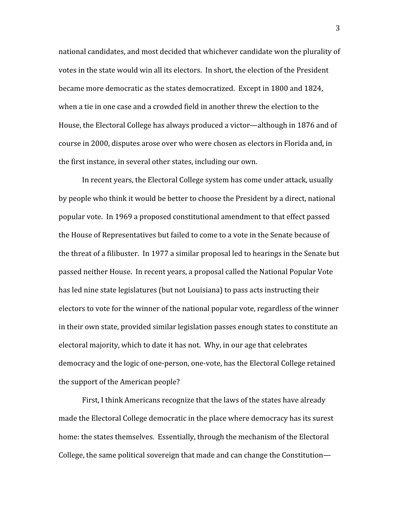national
candidates,
and
most
decided
that
whichever
candidate
won
the
plurality
of votes in the state would win all its electors. In short, the election of the President became more democratic as the states democratized. Except in 1800 and 1824, when a tie in one case and a crowded field in another threw the election to the House, the Electoral College has always produced a victor—although in 1876 and of course
in
2000,
disputes
arose
over
who
were
chosen
as
electors
in
Florida
and,
in the
first
instance,
in
several
other
states,
including
our
own.

In recent vears, the Electoral College system has come under attack, usually by people who think it would be better to choose the President by a direct, national popular
vote.

In
1969
a
proposed
constitutional
amendment
to
that
effect
passed the House of Representatives but failed to come to a vote in the Senate because of the threat of a filibuster. In 1977 a similar proposal led to hearings in the Senate but passed
neither
House.

In
recent
years,
a
proposal
called
the
National
Popular
Vote has
led
nine
state
legislatures
(but
not
Louisiana)
to
pass
acts
instructing
their electors to vote for the winner of the national popular vote, regardless of the winner in
their
own
state,
provided
similar
legislation
passes
enough
states
to
constitute
an electoral
majority,
which
to
date
it
has
not.

Why,
in
our
age
that
celebrates democracy
and
the
logic
of
one‐person,
one‐vote,
has
the
Electoral
College
retained the
support
of
the
American
people?

First,
I
think
Americans
recognize
that
the
laws
of
the
states
have
already made
the
Electoral
College
democratic
in
the
place
where
democracy
has
its
surest home: the states themselves. Essentially, through the mechanism of the Electoral College, the same political sovereign that made and can change the Constitution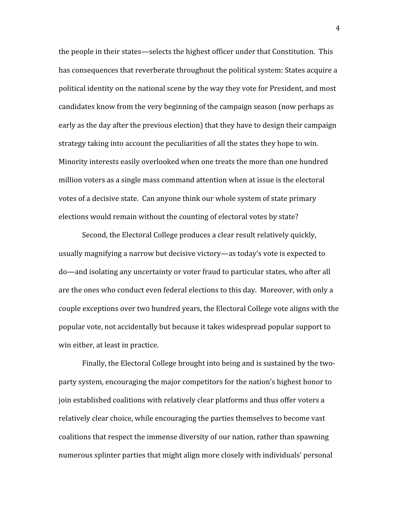the people in their states—selects the highest officer under that Constitution. This has consequences that reverberate throughout the political system: States acquire a political
identity
on
the
national
scene
by
the
way
they
vote
for
President,
and
most candidates
know
from
the
very
beginning
of
the
campaign
season
(now
perhaps
as early as the day after the previous election) that they have to design their campaign strategy taking into account the peculiarities of all the states they hope to win. Minority interests easily overlooked when one treats the more than one hundred million voters as a single mass command attention when at issue is the electoral votes of a decisive state. Can anyone think our whole system of state primary elections
would
remain
without
the
counting
of
electoral
votes
by
state?

Second, the Electoral College produces a clear result relatively quickly, usually magnifying a narrow but decisive victory—as today's vote is expected to do—and
isolating
any
uncertainty
or
voter
fraud
to
particular
states,
who
after
all are
the
ones
who
conduct
even
federal
elections
to
this
day.

Moreover,
with
only
a couple
exceptions
over
two
hundred
years,
the
Electoral
College
vote
aligns
with
the popular
vote,
not
accidentally
but
because
it
takes
widespread
popular
support
to win
either,
at
least
in
practice.

Finally, the Electoral College brought into being and is sustained by the twoparty
system,
encouraging
the
major
competitors
for
the
nation's
highest
honor
to join
established
coalitions
with
relatively
clear
platforms
and
thus
offer
voters
a relatively clear choice, while encouraging the parties themselves to become vast coalitions
that
respect
the
immense
diversity
of
our
nation,
rather
than
spawning numerous splinter parties that might align more closely with individuals' personal